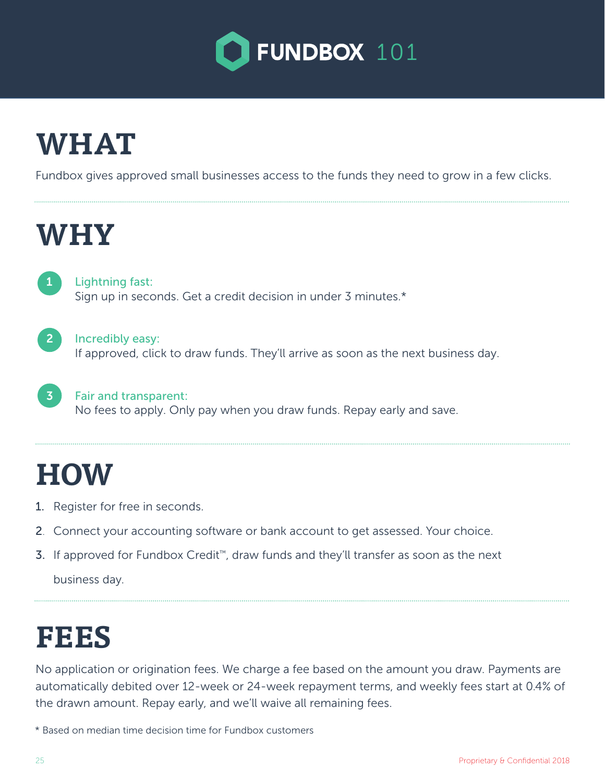

## **WHAT**

Fundbox gives approved small businesses access to the funds they need to grow in a few clicks.

### **WHY**

1

3

Lightning fast: Sign up in seconds. Get a credit decision in under 3 minutes.\*

2 Incredibly easy: If approved, click to draw funds. They'll arrive as soon as the next business day.

Fair and transparent: No fees to apply. Only pay when you draw funds. Repay early and save.

## **HOW**

- 1. Register for free in seconds.
- 2. Connect your accounting software or bank account to get assessed. Your choice.
- 3. If approved for Fundbox Credit™, draw funds and they'll transfer as soon as the next business day.

### **FEES**

No application or origination fees. We charge a fee based on the amount you draw. Payments are automatically debited over 12-week or 24-week repayment terms, and weekly fees start at 0.4% of the drawn amount. Repay early, and we'll waive all remaining fees.

\* Based on median time decision time for Fundbox customers